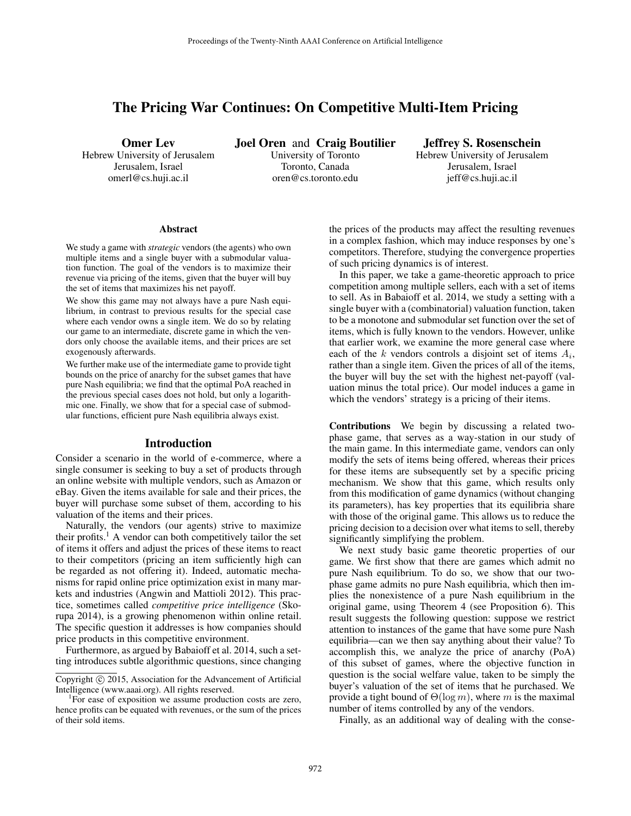# The Pricing War Continues: On Competitive Multi-Item Pricing

Omer Lev Hebrew University of Jerusalem Jerusalem, Israel omerl@cs.huji.ac.il

Joel Oren and Craig Boutilier University of Toronto Toronto, Canada oren@cs.toronto.edu

Jeffrey S. Rosenschein Hebrew University of Jerusalem Jerusalem, Israel jeff@cs.huji.ac.il

#### Abstract

We study a game with *strategic* vendors (the agents) who own multiple items and a single buyer with a submodular valuation function. The goal of the vendors is to maximize their revenue via pricing of the items, given that the buyer will buy the set of items that maximizes his net payoff.

We show this game may not always have a pure Nash equilibrium, in contrast to previous results for the special case where each vendor owns a single item. We do so by relating our game to an intermediate, discrete game in which the vendors only choose the available items, and their prices are set exogenously afterwards.

We further make use of the intermediate game to provide tight bounds on the price of anarchy for the subset games that have pure Nash equilibria; we find that the optimal PoA reached in the previous special cases does not hold, but only a logarithmic one. Finally, we show that for a special case of submodular functions, efficient pure Nash equilibria always exist.

### Introduction

Consider a scenario in the world of e-commerce, where a single consumer is seeking to buy a set of products through an online website with multiple vendors, such as Amazon or eBay. Given the items available for sale and their prices, the buyer will purchase some subset of them, according to his valuation of the items and their prices.

Naturally, the vendors (our agents) strive to maximize their profits.<sup>1</sup> A vendor can both competitively tailor the set of items it offers and adjust the prices of these items to react to their competitors (pricing an item sufficiently high can be regarded as not offering it). Indeed, automatic mechanisms for rapid online price optimization exist in many markets and industries (Angwin and Mattioli 2012). This practice, sometimes called *competitive price intelligence* (Skorupa 2014), is a growing phenomenon within online retail. The specific question it addresses is how companies should price products in this competitive environment.

Furthermore, as argued by Babaioff et al. 2014, such a setting introduces subtle algorithmic questions, since changing

the prices of the products may affect the resulting revenues in a complex fashion, which may induce responses by one's competitors. Therefore, studying the convergence properties of such pricing dynamics is of interest.

In this paper, we take a game-theoretic approach to price competition among multiple sellers, each with a set of items to sell. As in Babaioff et al. 2014, we study a setting with a single buyer with a (combinatorial) valuation function, taken to be a monotone and submodular set function over the set of items, which is fully known to the vendors. However, unlike that earlier work, we examine the more general case where each of the  $k$  vendors controls a disjoint set of items  $A_i$ , rather than a single item. Given the prices of all of the items, the buyer will buy the set with the highest net-payoff (valuation minus the total price). Our model induces a game in which the vendors' strategy is a pricing of their items.

Contributions We begin by discussing a related twophase game, that serves as a way-station in our study of the main game. In this intermediate game, vendors can only modify the sets of items being offered, whereas their prices for these items are subsequently set by a specific pricing mechanism. We show that this game, which results only from this modification of game dynamics (without changing its parameters), has key properties that its equilibria share with those of the original game. This allows us to reduce the pricing decision to a decision over what items to sell, thereby significantly simplifying the problem.

We next study basic game theoretic properties of our game. We first show that there are games which admit no pure Nash equilibrium. To do so, we show that our twophase game admits no pure Nash equilibria, which then implies the nonexistence of a pure Nash equilibrium in the original game, using Theorem 4 (see Proposition 6). This result suggests the following question: suppose we restrict attention to instances of the game that have some pure Nash equilibria—can we then say anything about their value? To accomplish this, we analyze the price of anarchy (PoA) of this subset of games, where the objective function in question is the social welfare value, taken to be simply the buyer's valuation of the set of items that he purchased. We provide a tight bound of  $\Theta(\log m)$ , where m is the maximal number of items controlled by any of the vendors.

Finally, as an additional way of dealing with the conse-

Copyright © 2015, Association for the Advancement of Artificial Intelligence (www.aaai.org). All rights reserved.

<sup>&</sup>lt;sup>1</sup>For ease of exposition we assume production costs are zero, hence profits can be equated with revenues, or the sum of the prices of their sold items.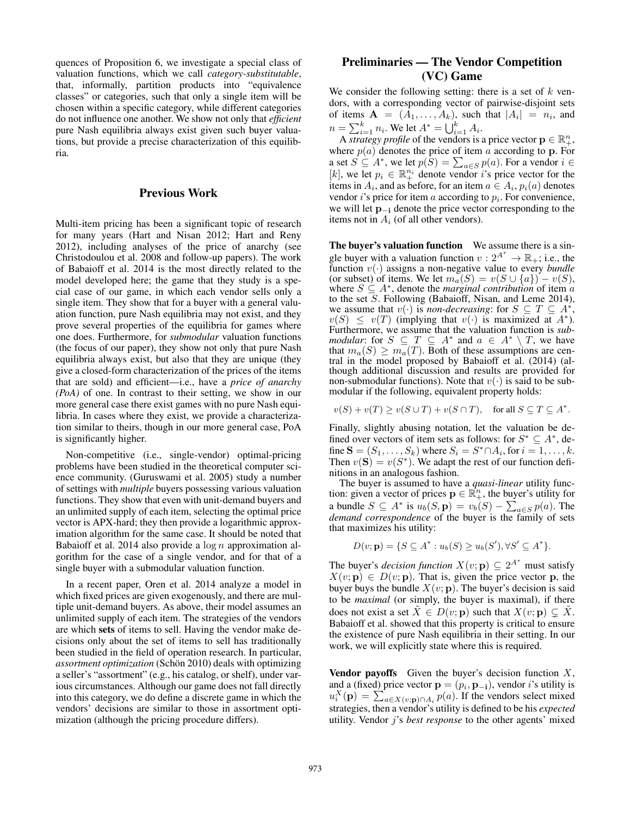quences of Proposition 6, we investigate a special class of valuation functions, which we call *category-substitutable*, that, informally, partition products into "equivalence classes" or categories, such that only a single item will be chosen within a specific category, while different categories do not influence one another. We show not only that *efficient* pure Nash equilibria always exist given such buyer valuations, but provide a precise characterization of this equilibria.

## Previous Work

Multi-item pricing has been a significant topic of research for many years (Hart and Nisan 2012; Hart and Reny 2012), including analyses of the price of anarchy (see Christodoulou et al. 2008 and follow-up papers). The work of Babaioff et al. 2014 is the most directly related to the model developed here; the game that they study is a special case of our game, in which each vendor sells only a single item. They show that for a buyer with a general valuation function, pure Nash equilibria may not exist, and they prove several properties of the equilibria for games where one does. Furthermore, for *submodular* valuation functions (the focus of our paper), they show not only that pure Nash equilibria always exist, but also that they are unique (they give a closed-form characterization of the prices of the items that are sold) and efficient—i.e., have a *price of anarchy (PoA)* of one. In contrast to their setting, we show in our more general case there exist games with no pure Nash equilibria. In cases where they exist, we provide a characterization similar to theirs, though in our more general case, PoA is significantly higher.

Non-competitive (i.e., single-vendor) optimal-pricing problems have been studied in the theoretical computer science community. (Guruswami et al. 2005) study a number of settings with *multiple* buyers possessing various valuation functions. They show that even with unit-demand buyers and an unlimited supply of each item, selecting the optimal price vector is APX-hard; they then provide a logarithmic approximation algorithm for the same case. It should be noted that Babaioff et al. 2014 also provide a  $\log n$  approximation algorithm for the case of a single vendor, and for that of a single buyer with a submodular valuation function.

In a recent paper, Oren et al. 2014 analyze a model in which fixed prices are given exogenously, and there are multiple unit-demand buyers. As above, their model assumes an unlimited supply of each item. The strategies of the vendors are which sets of items to sell. Having the vendor make decisions only about the set of items to sell has traditionally been studied in the field of operation research. In particular, *assortment optimization* (Schön 2010) deals with optimizing a seller's "assortment" (e.g., his catalog, or shelf), under various circumstances. Although our game does not fall directly into this category, we do define a discrete game in which the vendors' decisions are similar to those in assortment optimization (although the pricing procedure differs).

## Preliminaries — The Vendor Competition (VC) Game

We consider the following setting: there is a set of  $k$  vendors, with a corresponding vector of pairwise-disjoint sets of items  $\mathbf{A} = (A_1, \dots, A_k)$ , such that  $|A_i| = n_i$ , and  $n = \sum_{i=1}^{k} n_i$ . We let  $A^* = \bigcup_{i=1}^{k} A_i$ .

A *strategy profile* of the vendors is a price vector  $\mathbf{p} \in \mathbb{R}_+^n$ , where  $p(a)$  denotes the price of item a according to p. For a set  $S \subseteq A^*$ , we let  $p(S) = \sum_{a \in S} p(a)$ . For a vendor  $i \in$ [k], we let  $p_i \in \mathbb{R}_+^{n_i}$  denote vendor i's price vector for the items in  $A_i$ , and as before, for an item  $a \in A_i$ ,  $p_i(a)$  denotes vendor  $i$ 's price for item  $a$  according to  $p_i$ . For convenience, we will let p<sup>−</sup><sup>i</sup> denote the price vector corresponding to the items not in  $A_i$  (of all other vendors).

The buyer's valuation function We assume there is a single buyer with a valuation function  $v: 2^{A^*} \to \mathbb{R}_+$ ; i.e., the function  $v(\cdot)$  assigns a non-negative value to every *bundle* (or subset) of items. We let  $m_a(S) = v(S \cup \{a\}) - v(S)$ , where  $S \subseteq A^*$ , denote the *marginal contribution* of item *a* to the set S. Following (Babaioff, Nisan, and Leme 2014), we assume that  $v(\cdot)$  is *non-decreasing*: for  $S \subseteq T \subseteq A^*$ ,  $v(S) \le v(T)$  (implying that  $v(\cdot)$  is maximized at  $A^*$ ). Furthermore, we assume that the valuation function is *submodular*: for  $S \subseteq T \subseteq A^*$  and  $a \in A^* \setminus T$ , we have that  $m_a(S) \geq m_a(T)$ . Both of these assumptions are central in the model proposed by Babaioff et al. (2014) (although additional discussion and results are provided for non-submodular functions). Note that  $v(\cdot)$  is said to be submodular if the following, equivalent property holds:

$$
v(S) + v(T) \ge v(S \cup T) + v(S \cap T), \quad \text{for all } S \subseteq T \subseteq A^*.
$$

Finally, slightly abusing notation, let the valuation be defined over vectors of item sets as follows: for  $S^* \subseteq A^*$ , define  $\mathbf{S} = (S_1, \dots, S_k)$  where  $S_i = S^* \cap A_i$ , for  $i = 1, \dots, k$ . Then  $v(S) = v(S^*)$ . We adapt the rest of our function definitions in an analogous fashion.

The buyer is assumed to have a *quasi-linear* utility function: given a vector of prices  $\mathbf{p} \in \mathbb{R}_+^n$ , the buyer's utility for a bundle  $S \subseteq A^*$  is  $u_b(S, \mathbf{p}) = v_b(S) - \sum_{a \in S} p(a)$ . The *demand correspondence* of the buyer is the family of sets that maximizes his utility:

$$
D(v; \mathbf{p}) = \{ S \subseteq A^* : u_b(S) \ge u_b(S'), \forall S' \subseteq A^* \}.
$$

The buyer's *decision function*  $X(v; \mathbf{p}) \subseteq 2^{A^*}$  must satisfy  $X(v; \mathbf{p}) \in D(v; \mathbf{p})$ . That is, given the price vector p, the buyer buys the bundle  $X(v; \mathbf{p})$ . The buyer's decision is said to be *maximal* (or simply, the buyer is maximal), if there does not exist a set  $\tilde{X} \in D(v; \mathbf{p})$  such that  $X(v; \mathbf{p}) \subsetneq \tilde{X}$ . Babaioff et al. showed that this property is critical to ensure the existence of pure Nash equilibria in their setting. In our work, we will explicitly state where this is required.

**Vendor payoffs** Given the buyer's decision function  $X$ , and a (fixed) price vector  $\mathbf{p} = (p_i, \mathbf{p}_{-i})$ , vendor *i*'s utility is  $u_i^X(\mathbf{p}) = \sum_{a \in X(v;\mathbf{p}) \cap A_i} p(a)$ . If the vendors select mixed strategies, then a vendor's utility is defined to be his *expected* utility. Vendor j's *best response* to the other agents' mixed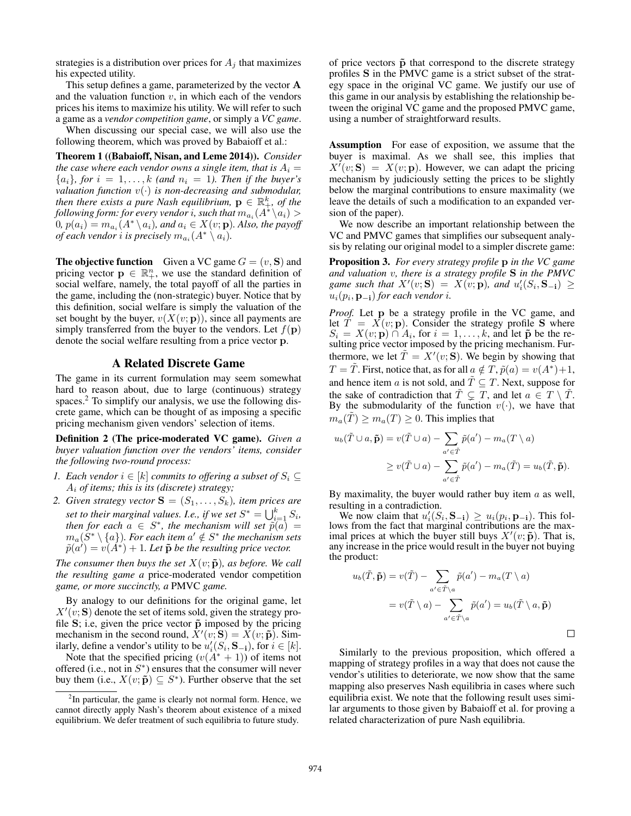strategies is a distribution over prices for  $A_i$  that maximizes his expected utility.

This setup defines a game, parameterized by the vector A and the valuation function  $v$ , in which each of the vendors prices his items to maximize his utility. We will refer to such a game as a *vendor competition game*, or simply a *VC game*.

When discussing our special case, we will also use the following theorem, which was proved by Babaioff et al.:

Theorem 1 ((Babaioff, Nisan, and Leme 2014)). *Consider the case where each vendor owns a single item, that is*  $A_i =$  ${a_i}$ *, for*  $i = 1, \ldots, k$  (and  $n_i = 1$ ). Then if the buyer's *valuation function* v(·) *is non-decreasing and submodular,* then there exists a pure Nash equilibrium,  $\mathbf{p} \in \mathbb{R}_+^k$ , of the following form: for every vendor  $i$ , such that  $m_{a_i}(A^*\backslash a_i) > 0$  $(0, p(a_i) = m_{a_i}(A^* \setminus a_i)$ *, and*  $a_i \in X(v; \mathbf{p})$ *. Also, the payoff of each vendor*  $i$  *is precisely*  $m_{a_i}(A^*\setminus a_i)$ *.* 

**The objective function** Given a VC game  $G = (v, S)$  and pricing vector  $\mathbf{p} \in \mathbb{R}_+^n$ , we use the standard definition of social welfare, namely, the total payoff of all the parties in the game, including the (non-strategic) buyer. Notice that by this definition, social welfare is simply the valuation of the set bought by the buyer,  $v(X(v; \mathbf{p}))$ , since all payments are simply transferred from the buyer to the vendors. Let  $f(\mathbf{p})$ denote the social welfare resulting from a price vector p.

#### A Related Discrete Game

The game in its current formulation may seem somewhat hard to reason about, due to large (continuous) strategy spaces.<sup>2</sup> To simplify our analysis, we use the following discrete game, which can be thought of as imposing a specific pricing mechanism given vendors' selection of items.

Definition 2 (The price-moderated VC game). *Given a buyer valuation function over the vendors' items, consider the following two-round process:*

- *1.* Each vendor  $i \in [k]$  commits to offering a subset of  $S_i$  ⊆ A<sup>i</sup> *of items; this is its (discrete) strategy;*
- *2. Given strategy vector*  $S = (S_1, \ldots, S_k)$ *, item prices are set to their marginal values. I.e., if we set*  $S^* = \bigcup_{i=1}^k S_i$ , *then for each*  $a \in S^*$ , the mechanism will set  $\tilde{p}(a) =$  $m_a(S^*\setminus\{a\})$ . For each item  $a'\notin S^*$  the mechanism sets  $\tilde{p}(a^{\prime}) = v(A^*) + 1$ . Let  $\tilde{p}$  be the resulting price vector.

*The consumer then buys the set*  $X(v; \tilde{p})$ *, as before. We call the resulting game a* price-moderated vendor competition *game, or more succinctly, a* PMVC *game.*

By analogy to our definitions for the original game, let  $X'(v; S)$  denote the set of items sold, given the strategy profile  $S$ ; i.e, given the price vector  $\tilde{p}$  imposed by the pricing mechanism in the second round,  $\overline{X'(v;S)} = \overline{X(v; \tilde{p})}$ . Similarly, define a vendor's utility to be  $u'_i(S_i, \mathbf{S_{-i}})$ , for  $i \in [k]$ .

Note that the specified pricing  $(v(A^* + 1))$  of items not offered (i.e., not in  $S^*$ ) ensures that the consumer will never buy them (i.e.,  $X(v; \tilde{\mathbf{p}}) \subseteq S^*$ ). Further observe that the set

of price vectors  $\tilde{p}$  that correspond to the discrete strategy profiles S in the PMVC game is a strict subset of the strategy space in the original VC game. We justify our use of this game in our analysis by establishing the relationship between the original VC game and the proposed PMVC game, using a number of straightforward results.

Assumption For ease of exposition, we assume that the buyer is maximal. As we shall see, this implies that  $X'(v; S) = X(v; p)$ . However, we can adapt the pricing mechanism by judiciously setting the prices to be slightly below the marginal contributions to ensure maximality (we leave the details of such a modification to an expanded version of the paper).

We now describe an important relationship between the VC and PMVC games that simplifies our subsequent analysis by relating our original model to a simpler discrete game:

Proposition 3. *For every strategy profile* p *in the VC game and valuation* v*, there is a strategy profile* S *in the PMVC* game such that  $X'(v; S) = X(v; p)$ , and  $u'_{i}(S_{i}, S_{-i}) \ge$  $u_i(p_i, \mathbf{p_{-i}})$  *for each vendor i.* 

*Proof.* Let p be a strategy profile in the VC game, and let  $\hat{T} = X(v; \mathbf{p})$ . Consider the strategy profile S where  $S_i = X(v; \mathbf{p}) \cap A_i$ , for  $i = 1, \dots, k$ , and let  $\mathbf{\tilde{p}}$  be the resulting price vector imposed by the pricing mechanism. Furthermore, we let  $\tilde{T} = X'(v; S)$ . We begin by showing that  $T = \tilde{T}$ . First, notice that, as for all  $a \notin T$ ,  $\tilde{p}(a) = v(A^*) + 1$ , and hence item a is not sold, and  $\overline{T} \subseteq T$ . Next, suppose for the sake of contradiction that  $T \subsetneq T$ , and let  $a \in T \setminus T$ . By the submodularity of the function  $v(\cdot)$ , we have that  $m_a(T) \geq m_a(T) \geq 0$ . This implies that

$$
u_b(\tilde{T} \cup a, \tilde{\mathbf{p}}) = v(\tilde{T} \cup a) - \sum_{a' \in \tilde{T}} \tilde{p}(a') - m_a(T \setminus a)
$$
  
 
$$
\geq v(\tilde{T} \cup a) - \sum_{a' \in \tilde{T}} \tilde{p}(a') - m_a(\tilde{T}) = u_b(\tilde{T}, \tilde{\mathbf{p}}).
$$

By maximality, the buyer would rather buy item  $\alpha$  as well, resulting in a contradiction.

We now claim that  $u'_i(S_i, \mathbf{S}_{-i}) \geq u_i(p_i, \mathbf{p}_{-i})$ . This follows from the fact that marginal contributions are the maximal prices at which the buyer still buys  $X'(v; \tilde{\mathbf{p}})$ . That is, any increase in the price would result in the buyer not buying the product:

$$
u_b(\tilde{T}, \tilde{\mathbf{p}}) = v(\tilde{T}) - \sum_{a' \in \tilde{T} \setminus a} \tilde{p}(a') - m_a(T \setminus a)
$$

$$
= v(\tilde{T} \setminus a) - \sum_{a' \in \tilde{T} \setminus a} \tilde{p}(a') = u_b(\tilde{T} \setminus a, \tilde{\mathbf{p}})
$$

 $\Box$ 

Similarly to the previous proposition, which offered a mapping of strategy profiles in a way that does not cause the vendor's utilities to deteriorate, we now show that the same mapping also preserves Nash equilibria in cases where such equilibria exist. We note that the following result uses similar arguments to those given by Babaioff et al. for proving a related characterization of pure Nash equilibria.

 $2$ In particular, the game is clearly not normal form. Hence, we cannot directly apply Nash's theorem about existence of a mixed equilibrium. We defer treatment of such equilibria to future study.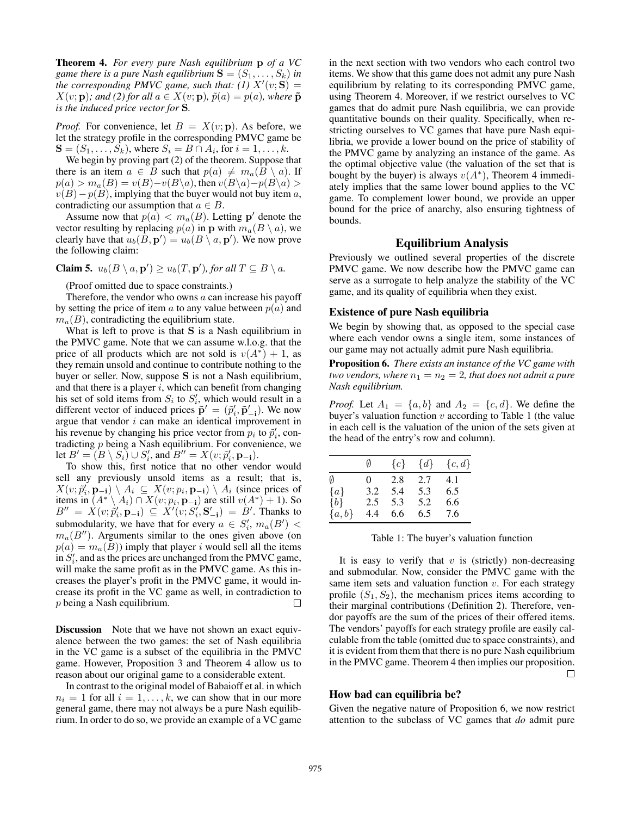Theorem 4. *For every pure Nash equilibrium* p *of a VC game there is a pure Nash equilibrium*  $S = (S_1, \ldots, S_k)$  *in the corresponding PMVC game, such that: (1)*  $X'(v; S) =$  $X(v; \mathbf{p})$ *; and (2) for all*  $a \in X(v; \mathbf{p})$ *,*  $\tilde{p}(a) = p(a)$ *, where*  $\tilde{\mathbf{p}}$ *is the induced price vector for* S*.*

*Proof.* For convenience, let  $B = X(v; \mathbf{p})$ . As before, we let the strategy profile in the corresponding PMVC game be  $\mathbf{S} = (S_1, \dots, S_k)$ , where  $S_i = B \cap A_i$ , for  $i = 1, \dots, k$ .

We begin by proving part (2) of the theorem. Suppose that there is an item  $a \in B$  such that  $p(a) \neq m_a(B \setminus a)$ . If  $p(a) > m_a(B) = v(B)-v(B\setminus a)$ , then  $v(B\setminus a)-p(B\setminus a)$  $v(B)-p(B)$ , implying that the buyer would not buy item a, contradicting our assumption that  $a \in B$ .

Assume now that  $p(a) < m_a(B)$ . Letting p' denote the vector resulting by replacing  $p(a)$  in p with  $m_a(B \setminus a)$ , we clearly have that  $u_b(\hat{B}, \mathbf{p}') = u_b(B \setminus a, \mathbf{p}')$ . We now prove the following claim:

**Claim 5.** 
$$
u_b(B \setminus a, \mathbf{p}') \ge u_b(T, \mathbf{p}')
$$
, for all  $T \subseteq B \setminus a$ .

(Proof omitted due to space constraints.)

Therefore, the vendor who owns  $a$  can increase his payoff by setting the price of item a to any value between  $p(a)$  and  $m_a(B)$ , contradicting the equilibrium state.

What is left to prove is that  $S$  is a Nash equilibrium in the PMVC game. Note that we can assume w.l.o.g. that the price of all products which are not sold is  $v(A^*) + 1$ , as they remain unsold and continue to contribute nothing to the buyer or seller. Now, suppose S is not a Nash equilibrium, and that there is a player  $i$ , which can benefit from changing his set of sold items from  $S_i$  to  $S'_i$ , which would result in a different vector of induced prices  $\tilde{\mathbf{p}}' = (\tilde{p}'_i, \tilde{\mathbf{p}}'_{-i})$ . We now argue that vendor i can make an identical improvement in his revenue by changing his price vector from  $p_i$  to  $\tilde{p}'_i$ , contradicting  $p$  being a Nash equilibrium. For convenience, we let  $B' = (B \setminus S_i) \cup S'_i$ , and  $B'' = X(v; \tilde{p}'_i, \mathbf{p}_{-i})$ .

To show this, first notice that no other vendor would sell any previously unsold items as a result; that is,  $X(v; \tilde{p}'_i, \mathbf{p}_{-i}) \setminus A_i \subseteq X(v; p_i, \mathbf{p}_{-i}) \setminus A_i$  (since prices of items in  $(A^* \setminus A_i) \cap X(v; p_i, \mathbf{p}_{-i})$  are still  $v(A^*) + 1$ ). So  $B'' = \hat{X}(v; \hat{p}'_i, \mathbf{p}_{-i}) \subseteq \hat{X}'(v; S'_i, \mathbf{S}'_{-i}) = \hat{B}'$ . Thanks to submodularity, we have that for every  $a \in S'_i$ ,  $m_a(B')$  $m_a(B'')$ . Arguments similar to the ones given above (on  $p(a) = m_a(B)$  imply that player i would sell all the items in  $S_i'$ , and as the prices are unchanged from the PMVC game, will make the same profit as in the PMVC game. As this increases the player's profit in the PMVC game, it would increase its profit in the VC game as well, in contradiction to p being a Nash equilibrium. П

**Discussion** Note that we have not shown an exact equivalence between the two games: the set of Nash equilibria in the VC game is a subset of the equilibria in the PMVC game. However, Proposition 3 and Theorem 4 allow us to reason about our original game to a considerable extent.

In contrast to the original model of Babaioff et al. in which  $n_i = 1$  for all  $i = 1, \ldots, k$ , we can show that in our more general game, there may not always be a pure Nash equilibrium. In order to do so, we provide an example of a VC game

in the next section with two vendors who each control two items. We show that this game does not admit any pure Nash equilibrium by relating to its corresponding PMVC game, using Theorem 4. Moreover, if we restrict ourselves to VC games that do admit pure Nash equilibria, we can provide quantitative bounds on their quality. Specifically, when restricting ourselves to VC games that have pure Nash equilibria, we provide a lower bound on the price of stability of the PMVC game by analyzing an instance of the game. As the optimal objective value (the valuation of the set that is bought by the buyer) is always  $v(A^*)$ , Theorem 4 immediately implies that the same lower bound applies to the VC game. To complement lower bound, we provide an upper bound for the price of anarchy, also ensuring tightness of bounds.

### Equilibrium Analysis

Previously we outlined several properties of the discrete PMVC game. We now describe how the PMVC game can serve as a surrogate to help analyze the stability of the VC game, and its quality of equilibria when they exist.

#### Existence of pure Nash equilibria

We begin by showing that, as opposed to the special case where each vendor owns a single item, some instances of our game may not actually admit pure Nash equilibria.

Proposition 6. *There exists an instance of the VC game with two vendors, where*  $n_1 = n_2 = 2$ *, that does not admit a pure Nash equilibrium.*

*Proof.* Let  $A_1 = \{a, b\}$  and  $A_2 = \{c, d\}$ . We define the buyer's valuation function  $v$  according to Table 1 (the value in each cell is the valuation of the union of the sets given at the head of the entry's row and column).

|         | Ø        | ${c}$ | $\{d\}$ | ${c,d}$ |
|---------|----------|-------|---------|---------|
| Ø       | $\Omega$ | 2.8   | 2.7     | 4.1     |
| ${a}$   | 3.2      | 5.4   | 5.3     | 6.5     |
| ${b}$   | 2.5      | 5.3   | 5.2     | 6.6     |
| ${a,b}$ | 4.4      | 6.6   | 6.5     | 7.6     |

Table 1: The buyer's valuation function

It is easy to verify that  $v$  is (strictly) non-decreasing and submodular. Now, consider the PMVC game with the same item sets and valuation function  $v$ . For each strategy profile  $(S_1, S_2)$ , the mechanism prices items according to their marginal contributions (Definition 2). Therefore, vendor payoffs are the sum of the prices of their offered items. The vendors' payoffs for each strategy profile are easily calculable from the table (omitted due to space constraints), and it is evident from them that there is no pure Nash equilibrium in the PMVC game. Theorem 4 then implies our proposition.  $\Box$ 

#### How bad can equilibria be?

Given the negative nature of Proposition 6, we now restrict attention to the subclass of VC games that *do* admit pure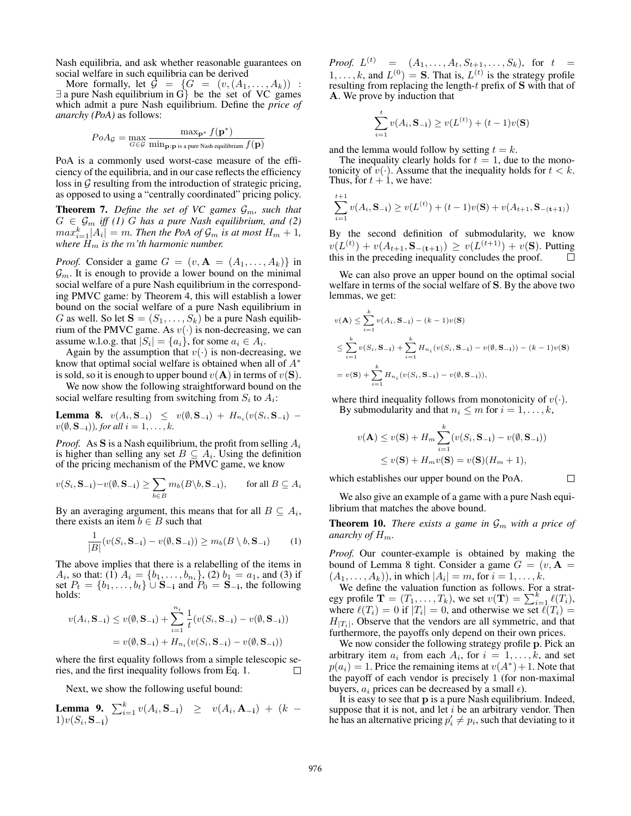Nash equilibria, and ask whether reasonable guarantees on social welfare in such equilibria can be derived

More formally, let  $\mathcal{G} = \{G = (v, (A_1, \ldots, A_k))$  : ∃ a pure Nash equilibrium in G} be the set of VC games which admit a pure Nash equilibrium. Define the *price of anarchy (PoA)* as follows:

$$
PoAg = \max_{G \in \mathcal{G}} \frac{\max_{\mathbf{p}^*} f(\mathbf{p}^*)}{\min_{\mathbf{p} : \mathbf{p} \text{ is a pure Nash equilibrium}} f(\mathbf{p})}
$$

PoA is a commonly used worst-case measure of the efficiency of the equilibria, and in our case reflects the efficiency loss in  $G$  resulting from the introduction of strategic pricing, as opposed to using a "centrally coordinated" pricing policy.

**Theorem 7.** Define the set of VC games  $\mathcal{G}_m$ , such that  $G \in \mathcal{G}_m$  *iff (1)* G has a pure Nash equilibrium, and (2)  $max_{i=1}^k |A_i| = m$ . Then the PoA of  $\mathcal{G}_m$  is at most  $H_m + 1$ , *where*  $H_m$  *is the* m'th harmonic number.

*Proof.* Consider a game  $G = (v, \mathbf{A} = (A_1, \dots, A_k))$  in  $\mathcal{G}_m$ . It is enough to provide a lower bound on the minimal social welfare of a pure Nash equilibrium in the corresponding PMVC game: by Theorem 4, this will establish a lower bound on the social welfare of a pure Nash equilibrium in G as well. So let  $S = (S_1, \ldots, S_k)$  be a pure Nash equilibrium of the PMVC game. As  $v(\cdot)$  is non-decreasing, we can assume w.l.o.g. that  $|S_i| = \{a_i\}$ , for some  $a_i \in A_i$ .

Again by the assumption that  $v(\cdot)$  is non-decreasing, we know that optimal social welfare is obtained when all of  $A^*$ is sold, so it is enough to upper bound  $v(A)$  in terms of  $v(S)$ .

We now show the following straightforward bound on the social welfare resulting from switching from  $S_i$  to  $A_i$ :

**Lemma 8.**  $v(A_i, \mathbf{S_{-i}}) \leq v(\emptyset, \mathbf{S_{-i}}) + H_{n_i}(v(S_i, \mathbf{S_{-i}})$  $v(\emptyset, \mathbf{S}_{-i})$ *), for all*  $i = 1, \ldots, k$ .

*Proof.* As **S** is a Nash equilibrium, the profit from selling  $A_i$ is higher than selling any set  $B \subseteq A_i$ . Using the definition of the pricing mechanism of the PMVC game, we know

$$
v(S_i, \mathbf{S}_{-i}) - v(\emptyset, \mathbf{S}_{-i}) \ge \sum_{b \in B} m_b(B \setminus b, \mathbf{S}_{-i}), \quad \text{for all } B \subseteq A_i
$$

By an averaging argument, this means that for all  $B \subseteq A_i$ , there exists an item  $b \in B$  such that

$$
\frac{1}{|B|}(v(S_i, \mathbf{S}_{-i}) - v(\emptyset, \mathbf{S}_{-i})) \ge m_b(B \setminus b, \mathbf{S}_{-i})
$$
 (1)

The above implies that there is a relabelling of the items in  $A_i$ , so that: (1)  $A_i = \{b_1, \ldots, b_{n_i}\},$  (2)  $b_1 = a_1$ , and (3) if set  $P_t = \{b_1, \ldots, b_t\}$   $\cup$   $S_{-i}$  and  $P_0 = S_{-i}$ , the following holds:

$$
v(A_i, \mathbf{S}_{-i}) \le v(\emptyset, \mathbf{S}_{-i}) + \sum_{i=1}^{n_i} \frac{1}{t} (v(S_i, \mathbf{S}_{-i}) - v(\emptyset, \mathbf{S}_{-i}))
$$
  
=  $v(\emptyset, \mathbf{S}_{-i}) + H_{n_i} (v(S_i, \mathbf{S}_{-i}) - v(\emptyset, \mathbf{S}_{-i}))$ 

where the first equality follows from a simple telescopic series, and the first inequality follows from Eq. 1.  $\Box$ 

Next, we show the following useful bound:

**Lemma 9.**  $\sum_{i=1}^{k} v(A_i, \mathbf{S}_{-i}) \geq v(A_i, \mathbf{A}_{-i}) + (k 1)v(S_i, \mathbf{S_{-i}})$ 

*Proof.*  $L^{(t)} = (A_1, \ldots, A_t, S_{t+1}, \ldots, S_k)$ , for  $t =$  $1, \ldots, k$ , and  $L^{(0)} = S$ . That is,  $L^{(t)}$  is the strategy profile resulting from replacing the length-t prefix of S with that of A. We prove by induction that

$$
\sum_{i=1}^{t} v(A_i, \mathbf{S}_{-i}) \ge v(L^{(t)}) + (t-1)v(\mathbf{S})
$$

and the lemma would follow by setting  $t = k$ .

The inequality clearly holds for  $t = 1$ , due to the monotonicity of  $v(\cdot)$ . Assume that the inequality holds for  $t < k$ . Thus, for  $t + 1$ , we have:

$$
\sum_{i=1}^{t+1} v(A_i, \mathbf{S}_{-i}) \ge v(L^{(t)}) + (t-1)v(\mathbf{S}) + v(A_{t+1}, \mathbf{S}_{-(t+1)})
$$

By the second definition of submodularity, we know  $v(L^{(t)}) + v(A_{t+1}, \mathbf{S}_{-(t+1)}) \geq v(L^{(t+1)}) + v(\mathbf{S})$ . Putting this in the preceding inequality concludes the proof.

We can also prove an upper bound on the optimal social welfare in terms of the social welfare of S. By the above two lemmas, we get:

$$
v(\mathbf{A}) \le \sum_{i=1}^{k} v(A_i, \mathbf{S}_{-i}) - (k-1)v(\mathbf{S})
$$
  
\n
$$
\le \sum_{i=1}^{k} v(S_i, \mathbf{S}_{-i}) + \sum_{i=1}^{k} H_{n_i}(v(S_i, \mathbf{S}_{-i}) - v(\emptyset, \mathbf{S}_{-i})) - (k-1)v(\mathbf{S})
$$
  
\n
$$
= v(\mathbf{S}) + \sum_{i=1}^{k} H_{n_i}(v(S_i, \mathbf{S}_{-i}) - v(\emptyset, \mathbf{S}_{-i})),
$$

where third inequality follows from monotonicity of  $v(\cdot)$ . By submodularity and that  $n_i \leq m$  for  $i = 1, \ldots, k$ ,

$$
v(\mathbf{A}) \le v(\mathbf{S}) + H_m \sum_{i=1}^{k} (v(S_i, \mathbf{S}_{-i}) - v(\emptyset, \mathbf{S}_{-i}))
$$
  
 
$$
\le v(\mathbf{S}) + H_m v(\mathbf{S}) = v(\mathbf{S})(H_m + 1),
$$

which establishes our upper bound on the PoA.

We also give an example of a game with a pure Nash equilibrium that matches the above bound.

 $\Box$ 

**Theorem 10.** *There exists a game in*  $\mathcal{G}_m$  *with a price of anarchy of*  $H_m$ .

*Proof.* Our counter-example is obtained by making the bound of Lemma 8 tight. Consider a game  $G = (v, A)$  $(A_1, ..., A_k)$ , in which  $|A_i| = m$ , for  $i = 1, ..., k$ .

We define the valuation function as follows. For a strategy profile  $\mathbf{T} = (T_1, \dots, T_k)$ , we set  $v(\mathbf{T}) = \sum_{i=1}^k \ell(T_i)$ , where  $\ell(T_i) = 0$  if  $|T_i| = 0$ , and otherwise we set  $\ell(T_i) =$  $H_{|T_i|}$ . Observe that the vendors are all symmetric, and that furthermore, the payoffs only depend on their own prices.

We now consider the following strategy profile p. Pick an arbitrary item  $a_i$  from each  $A_i$ , for  $i = 1, \ldots, k$ , and set  $p(a_i) = 1$ . Price the remaining items at  $v(A^*) + 1$ . Note that the payoff of each vendor is precisely 1 (for non-maximal buyers,  $a_i$  prices can be decreased by a small  $\epsilon$ ).

It is easy to see that p is a pure Nash equilibrium. Indeed, suppose that it is not, and let  $i$  be an arbitrary vendor. Then he has an alternative pricing  $p'_i \neq p_i$ , such that deviating to it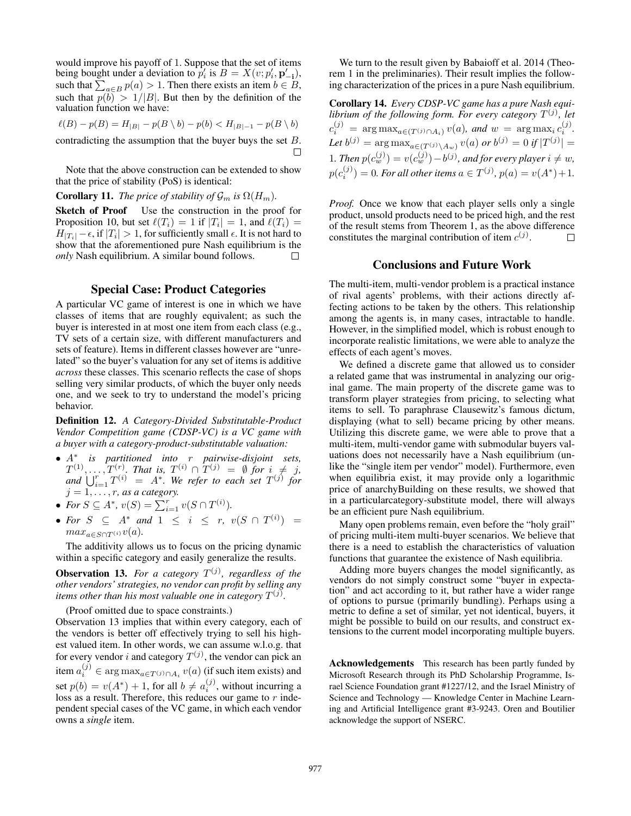would improve his payoff of 1. Suppose that the set of items being bought under a deviation to  $p'_i$  is  $B = X(v; p'_i, \mathbf{p}'_{-i}),$ such that  $\sum_{a \in B} p(a) > 1$ . Then there exists an item  $b \in B$ , such that  $p(b) > 1/|B|$ . But then by the definition of the valuation function we have:

$$
\ell(B) - p(B) = H_{|B|} - p(B \setminus b) - p(b) < H_{|B|-1} - p(B \setminus b)
$$

contradicting the assumption that the buyer buys the set B. П

Note that the above construction can be extended to show that the price of stability (PoS) is identical:

# **Corollary 11.** *The price of stability of*  $\mathcal{G}_m$  *is*  $\Omega(H_m)$ *.*

Sketch of Proof Use the construction in the proof for Proposition 10, but set  $\ell(T_i) = 1$  if  $|T_i| = 1$ , and  $\ell(T_i) =$  $H_{|T_i|} - \epsilon$ , if  $|T_i| > 1$ , for sufficiently small  $\epsilon$ . It is not hard to show that the aforementioned pure Nash equilibrium is the *only* Nash equilibrium. A similar bound follows.  $\Box$ 

## Special Case: Product Categories

A particular VC game of interest is one in which we have classes of items that are roughly equivalent; as such the buyer is interested in at most one item from each class (e.g., TV sets of a certain size, with different manufacturers and sets of feature). Items in different classes however are "unrelated" so the buyer's valuation for any set of items is additive *across* these classes. This scenario reflects the case of shops selling very similar products, of which the buyer only needs one, and we seek to try to understand the model's pricing behavior.

Definition 12. *A Category-Divided Substitutable-Product Vendor Competition game (CDSP-VC) is a VC game with a buyer with a category-product-substitutable valuation:*

- A<sup>∗</sup> *is partitioned into* r *pairwise-disjoint sets,*  $T^{(1)}, \ldots, T^{(r)}$ . That is,  $T^{(i)} \cap T^{(j)} = \emptyset$  for  $i \neq j$ , and  $\bigcup_{i=1}^r T^{(i)} = A^*$ . We refer to each set  $T^{(j)}$  for  $j = 1, \ldots, r$ , as a category.
- For  $S \subseteq A^*$ ,  $v(S) = \sum_{i=1}^r v(S \cap T^{(i)})$ .
- For  $S \subseteq A^*$  and  $1 \leq i \leq r$ ,  $v(S \cap T^{(i)}) =$  $max_{a \in S \cap T^{(i)}} v(a)$ .

The additivity allows us to focus on the pricing dynamic within a specific category and easily generalize the results.

**Observation 13.** For a category  $T^{(j)}$ , regardless of the *other vendors' strategies, no vendor can profit by selling any* items other than his most valuable one in category  $T^{(j)}$ .

(Proof omitted due to space constraints.)

Observation 13 implies that within every category, each of the vendors is better off effectively trying to sell his highest valued item. In other words, we can assume w.l.o.g. that for every vendor i and category  $T^{(j)}$ , the vendor can pick an item  $a_i^{(j)} \in \arg\max_{a \in T^{(j)} \cap A_i} v(a)$  (if such item exists) and set  $p(b) = v(A^*) + 1$ , for all  $b \neq a_i^{(j)}$ , without incurring a loss as a result. Therefore, this reduces our game to  $r$  independent special cases of the VC game, in which each vendor owns a *single* item.

We turn to the result given by Babaioff et al. 2014 (Theorem 1 in the preliminaries). Their result implies the following characterization of the prices in a pure Nash equilibrium.

Corollary 14. *Every CDSP-VC game has a pure Nash equilibrium of the following form. For every category*  $T^{(j)}$ , *let*  $c_i^{(j)} = \arg \max_{a \in (T^{(j)} \cap A_i)} v(a)$ , and  $w = \arg \max_i c_i^{(j)}$ . Let  $b^{(j)} = \arg \max_{a \in (T^{(j)} \setminus A_w)} v(a)$  or  $b^{(j)} = 0$  if  $|T^{(j)}| =$ 1. Then  $p(c_w^{(j)}) = v(c_w^{(j)}) - b^{(j)}$ , and for every player  $i \neq w$ ,  $p(c_i^{(j)}) = 0$ *. For all other items*  $a \in T^{(j)}$ *,*  $p(a) = v(A^*) + 1$ *.* 

*Proof.* Once we know that each player sells only a single product, unsold products need to be priced high, and the rest of the result stems from Theorem 1, as the above difference constitutes the marginal contribution of item  $c^{(j)}$ .  $\Box$ 

## Conclusions and Future Work

The multi-item, multi-vendor problem is a practical instance of rival agents' problems, with their actions directly affecting actions to be taken by the others. This relationship among the agents is, in many cases, intractable to handle. However, in the simplified model, which is robust enough to incorporate realistic limitations, we were able to analyze the effects of each agent's moves.

We defined a discrete game that allowed us to consider a related game that was instrumental in analyzing our original game. The main property of the discrete game was to transform player strategies from pricing, to selecting what items to sell. To paraphrase Clausewitz's famous dictum, displaying (what to sell) became pricing by other means. Utilizing this discrete game, we were able to prove that a multi-item, multi-vendor game with submodular buyers valuations does not necessarily have a Nash equilibrium (unlike the "single item per vendor" model). Furthermore, even when equilibria exist, it may provide only a logarithmic price of anarchyBuilding on these results, we showed that in a particularcategory-substitute model, there will always be an efficient pure Nash equilibrium.

Many open problems remain, even before the "holy grail" of pricing multi-item multi-buyer scenarios. We believe that there is a need to establish the characteristics of valuation functions that guarantee the existence of Nash equilibria.

Adding more buyers changes the model significantly, as vendors do not simply construct some "buyer in expectation" and act according to it, but rather have a wider range of options to pursue (primarily bundling). Perhaps using a metric to define a set of similar, yet not identical, buyers, it might be possible to build on our results, and construct extensions to the current model incorporating multiple buyers.

Acknowledgements This research has been partly funded by Microsoft Research through its PhD Scholarship Programme, Israel Science Foundation grant #1227/12, and the Israel Ministry of Science and Technology — Knowledge Center in Machine Learning and Artificial Intelligence grant #3-9243. Oren and Boutilier acknowledge the support of NSERC.